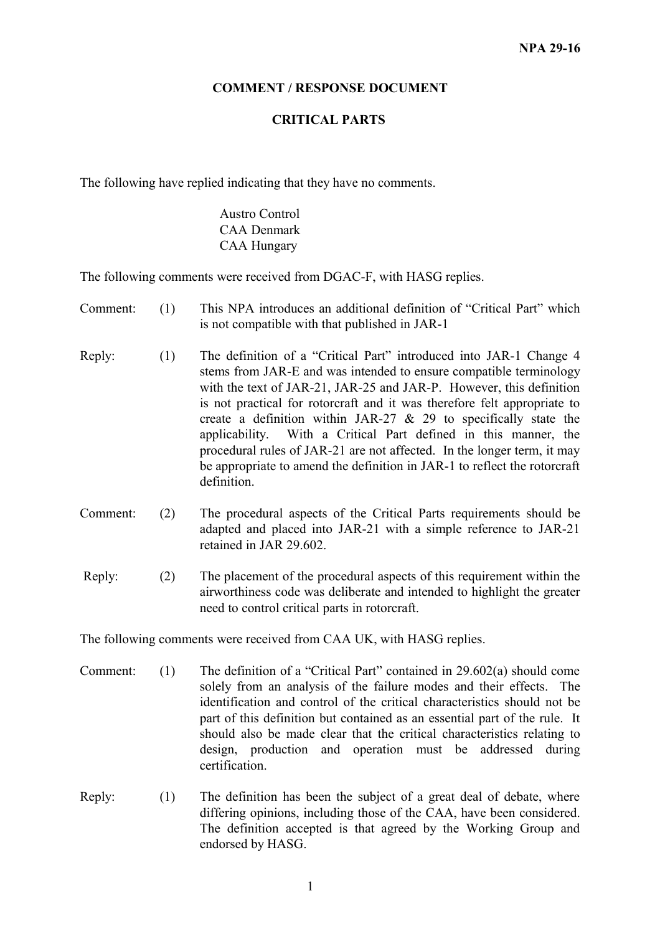## **COMMENT / RESPONSE DOCUMENT**

## **CRITICAL PARTS**

The following have replied indicating that they have no comments.

Austro Control CAA Denmark CAA Hungary

The following comments were received from DGAC-F, with HASG replies.

- Comment: (1) This NPA introduces an additional definition of "Critical Part" which is not compatible with that published in JAR-1
- Reply: (1) The definition of a "Critical Part" introduced into JAR-1 Change 4 stems from JAR-E and was intended to ensure compatible terminology with the text of JAR-21, JAR-25 and JAR-P. However, this definition is not practical for rotorcraft and it was therefore felt appropriate to create a definition within JAR-27  $\&$  29 to specifically state the applicability. With a Critical Part defined in this manner, the procedural rules of JAR-21 are not affected. In the longer term, it may be appropriate to amend the definition in JAR-1 to reflect the rotorcraft definition.
- Comment: (2) The procedural aspects of the Critical Parts requirements should be adapted and placed into JAR-21 with a simple reference to JAR-21 retained in JAR 29.602.
- Reply: (2) The placement of the procedural aspects of this requirement within the airworthiness code was deliberate and intended to highlight the greater need to control critical parts in rotorcraft.

The following comments were received from CAA UK, with HASG replies.

- Comment: (1) The definition of a "Critical Part" contained in 29.602(a) should come solely from an analysis of the failure modes and their effects. The identification and control of the critical characteristics should not be part of this definition but contained as an essential part of the rule. It should also be made clear that the critical characteristics relating to design, production and operation must be addressed during certification.
- Reply: (1) The definition has been the subject of a great deal of debate, where differing opinions, including those of the CAA, have been considered. The definition accepted is that agreed by the Working Group and endorsed by HASG.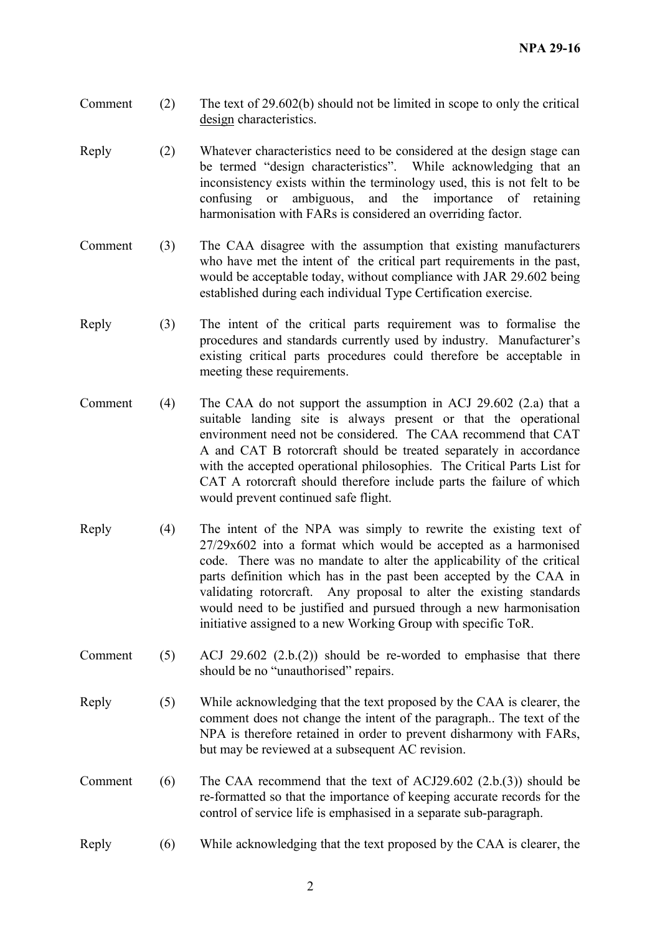- Comment (2) The text of 29.602(b) should not be limited in scope to only the critical design characteristics.
- Reply (2) Whatever characteristics need to be considered at the design stage can be termed "design characteristics". While acknowledging that an inconsistency exists within the terminology used, this is not felt to be confusing or ambiguous, and the importance of retaining harmonisation with FARs is considered an overriding factor.
- Comment (3) The CAA disagree with the assumption that existing manufacturers who have met the intent of the critical part requirements in the past, would be acceptable today, without compliance with JAR 29.602 being established during each individual Type Certification exercise.
- Reply (3) The intent of the critical parts requirement was to formalise the procedures and standards currently used by industry. Manufacturer's existing critical parts procedures could therefore be acceptable in meeting these requirements.
- Comment (4) The CAA do not support the assumption in ACJ 29.602 (2.a) that a suitable landing site is always present or that the operational environment need not be considered. The CAA recommend that CAT A and CAT B rotorcraft should be treated separately in accordance with the accepted operational philosophies. The Critical Parts List for CAT A rotorcraft should therefore include parts the failure of which would prevent continued safe flight.
- Reply (4) The intent of the NPA was simply to rewrite the existing text of 27/29x602 into a format which would be accepted as a harmonised code. There was no mandate to alter the applicability of the critical parts definition which has in the past been accepted by the CAA in validating rotorcraft. Any proposal to alter the existing standards would need to be justified and pursued through a new harmonisation initiative assigned to a new Working Group with specific ToR.
- Comment  $(5)$  ACJ 29.602  $(2.b.(2))$  should be re-worded to emphasise that there should be no "unauthorised" repairs.
- Reply (5) While acknowledging that the text proposed by the CAA is clearer, the comment does not change the intent of the paragraph.. The text of the NPA is therefore retained in order to prevent disharmony with FARs, but may be reviewed at a subsequent AC revision.
- Comment (6) The CAA recommend that the text of ACJ29.602  $(2.b.(3))$  should be re-formatted so that the importance of keeping accurate records for the control of service life is emphasised in a separate sub-paragraph.
- Reply (6) While acknowledging that the text proposed by the CAA is clearer, the